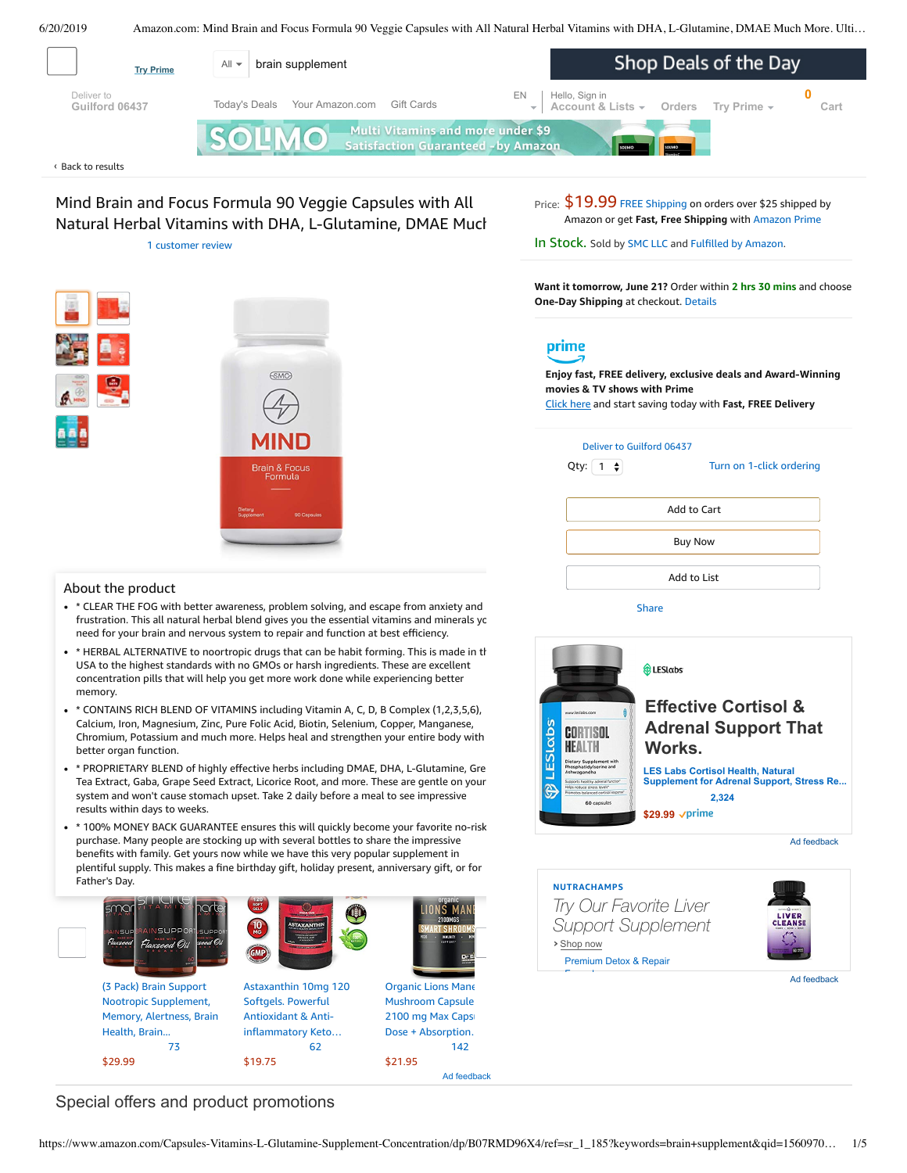

<span id="page-0-0"></span>

Mind Brain and Focus Formula 90 Veggie Capsules with All Natural Herbal Vitamins with DHA, L-Glutamine, DMAE Much 1 [customer](#page-2-0) review



#### About the product

- \* \* CLEAR THE FOG with better awareness, problem solving, and escape from anxiety and frustration. This all natural herbal blend gives you the essential vitamins and minerals yo need for your brain and nervous system to repair and function at best efficiency.
- \* \* HERBAL ALTERNATIVE to noortropic drugs that can be habit forming. This is made in th USA to the highest standards with no GMOs or harsh ingredients. These are excellent concentration pills that will help you get more work done while experiencing better memory.
- \* CONTAINS RICH BLEND OF VITAMINS including Vitamin A, C, D, B Complex (1,2,3,5,6), Calcium, Iron, Magnesium, Zinc, Pure Folic Acid, Biotin, Selenium, Copper, Manganese, Chromium, Potassium and much more. Helps heal and strengthen your entire body with better organ function.
- \* \* [PROPRIETARY](https://www.amazon.com/gp/redirect.html/ref=amb_link_1?_encoding=UTF8&location=https%3A%2F%2Fwww.amazon.com%2Fb%3Fnode%3D17904040011&source=standards&token=BE1FBDC111DBAC62750B07A4AFAFEF6D1A082253&pf_rd_m=ATVPDKIKX0DER&pf_rd_s=product-alert&pf_rd_r=B3481ZSKMTTYAV3CMEWQ&pf_rd_r=B3481ZSKMTTYAV3CMEWQ&pf_rd_t=201&pf_rd_p=daeb3cfd-e4e6-41c2-9f54-b460e6d1a06e&pf_rd_p=daeb3cfd-e4e6-41c2-9f54-b460e6d1a06e&pf_rd_i=B07RMD96X4) BLEND of highly effective herbs including DMAE, DHA, L-Glutamine, Gre Tea Extract, Gaba, Grape Seed Extract, Licorice Root, and more. These are gentle on your system and won't cause stomach upset. Take 2 daily before a meal to see impressive results within days to weeks.
- \* 100% MONEY BACK GUARANTEE ensures this will quickly become your favorite no-risk purchase. Many people are stocking up with several bottles to share the impressive benefits with family. Get yours now while we have this very popular supplement in plentiful supply. This makes a fine birthday gift, holiday present, anniversary gift, or for Father's Day.



Price:  $$19.99$  FREE [Shipping](javascript:void(0)) on orders over \$25 shipped by Amazon or get **Fast, Free Shipping** with [Amazon](https://www.amazon.com/gp/prime/pipeline/signup.html?ref=primedp_ventures_desktopBelowThreshold&primeCampaignId=primedp_ventures_desktopBelowThreshold) Prime

In Stock. Sold by [SMC](https://www.amazon.com/gp/help/seller/at-a-glance.html/ref=dp_merchant_link?ie=UTF8&seller=A1BWI7F1860U4Y&isAmazonFulfilled=1) LLC and Fulfilled by [Amazon.](https://www.amazon.com/gp/help/customer/display.html?ie=UTF8&ref=dp_fulfillment&nodeId=106096011)

**Want it tomorrow, June 21?** Order within **2 hrs 30 mins** and choose **One-Day Shipping** at checkout. [Details](https://www.amazon.com/gp/help/customer/display.html/ref=ftinfo_dp_?ie=UTF8&nodeId=3510241&pop-up=1)

# prime

**Enjoy fast, FREE delivery, exclusive deals and Award-Winning movies & TV shows with Prime** Click here and start saving today with **Fast, FREE Delivery**

Qty:  $\boxed{1 \quad \Leftrightarrow}$ 

Turn on 1-click [ordering](https://www.amazon.com/gp/product/utility/edit-one-click-pref.html/ref=dp_oc_signin?ie=UTF8&query=&returnPath=%2Fgp%2Fproduct%2FB07RMD96X4)

| Add to Cart    |  |
|----------------|--|
| <b>Buy Now</b> |  |
| Add to List    |  |
|                |  |





Ad feedback

# **NUTRACHAMPS**





Ad feedback

## Special offers and product promotions

Ad feedback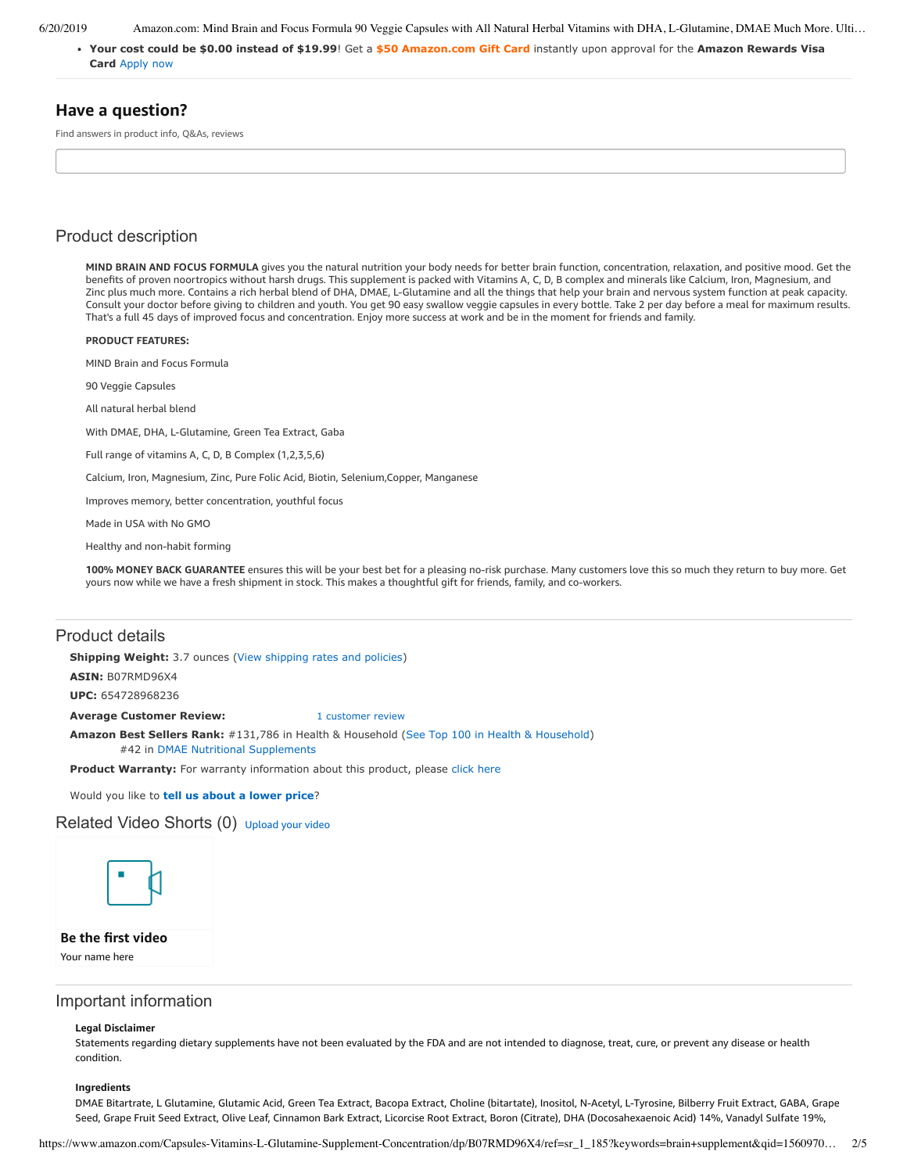6/20/2019 Amazon.com: Mind Brain and Focus Formula 90 Veggie Capsules with All Natural Herbal Vitamins with DHA, L-Glutamine, DMAE Much More. Ulti…

**[Your cost could be \\$0.00 instead of \\$19.99](https://www.amazon.com/gp/cobrandcard/marketing.html?pr=con321&inc=50gcUnrec&ts=e7cfg1jca9jhe9p5rckxla6odek5vfm&dasin=B07RMD96X4&plattr=math&place=detailpage&imp=9e37ad09-9ca1-42fa-baae-5d13415bbf71)**! Get a **\$50 Amazon.com Gift Card** instantly upon approval for the **Amazon Rewards Visa Card** Apply now

## **Have a question?**

Find answers in product info, Q&As, reviews

## Product description

**MIND BRAIN AND FOCUS FORMULA** gives you the natural nutrition your body needs for better brain function, concentration, relaxation, and positive mood. Get the benefits of proven noortropics without harsh drugs. This supplement is packed with Vitamins A, C, D, B complex and minerals like Calcium, Iron, Magnesium, and Zinc plus much more. Contains a rich herbal blend of DHA, DMAE, L-Glutamine and all the things that help your brain and nervous system function at peak capacity. Consult your doctor before giving to children and youth. You get 90 easy swallow veggie capsules in every bottle. Take 2 per day before a meal for maximum results. That's a full 45 days of improved focus and concentration. Enjoy more success at work and be in the moment for friends and family.

**PRODUCT FEATURES:**

MIND Brain and Focus Formula

90 Veggie Capsules

All natural herbal blend

With DMAE, DHA, L-Glutamine, Green Tea Extract, Gaba

Full range of vitamins A, C, D, B Complex (1,2,3,5,6)

Calcium, Iron, Magnesium, Zinc, Pure Folic Acid, Biotin, Selenium,Copper, Manganese

Improves memory, better concentration, youthful focus

Made in USA with No GMO

Healthy and non-habit forming

**100% MONEY BACK GUARANTEE** ensures this will be your best bet for a pleasing no-risk purchase. Many customers love this so much they return to buy more. Get yours now while we have a fresh shipment in stock. This makes a thoughtful gift for friends, family, and co-workers.

### Product details

**Shipping Weight:** 3.7 ounces [\(View shipping rates and policies\)](https://www.amazon.com/gp/help/seller/shipping.html/ref=dp_pd_shipping?ie=UTF8&asin=B07RMD96X4&seller=ATVPDKIKX0DER)

**ASIN:** B07RMD96X4

**UPC:** 654728968236

**Average Customer Review:** [1 customer review](https://www.amazon.com/product-reviews/B07RMD96X4/ref=acr_dpproductdetail_text?ie=UTF8&showViewpoints=1)

**Amazon Best Sellers Rank:** #131,786 in Health & Household [\(See Top 100 in Health & Household](https://www.amazon.com/gp/bestsellers/hpc/ref=pd_zg_ts_hpc)) #42 in [DMAE Nutritional Supplements](https://www.amazon.com/gp/bestsellers/hpc/3773461/ref=pd_zg_hrsr_hpc)

**Product Warranty:** For warranty information about this product, please [click here](https://www.amazon.com/gp/feature.html/ref=dp_warranty_request_3P?ie=UTF8&docId=1002406021)

Would you like to **tell us about a lower price**?

#### Related Video Shorts (0) [Upload](https://www.amazon.com/creatorhub/video/upload?productASIN=B07RMD96X4&referringURL=ZHAvQjA3Uk1EOTZYNA%3D%3D&ref=RVSW) your video



**Be the first video**

Your name here

### Important information

#### **Legal Disclaimer**

Statements regarding dietary supplements have not been evaluated by the FDA and are not intended to diagnose, treat, cure, or prevent any disease or health condition.

#### **Ingredients**

DMAE Bitartrate, L Glutamine, Glutamic Acid, Green Tea Extract, Bacopa Extract, Choline (bitartate), Inositol, N-Acetyl, L-Tyrosine, Bilberry Fruit Extract, GABA, Grape Seed, Grape Fruit Seed Extract, Olive Leaf, Cinnamon Bark Extract, Licorcise Root Extract, Boron (Citrate), DHA (Docosahexaenoic Acid) 14%, Vanadyl Sulfate 19%,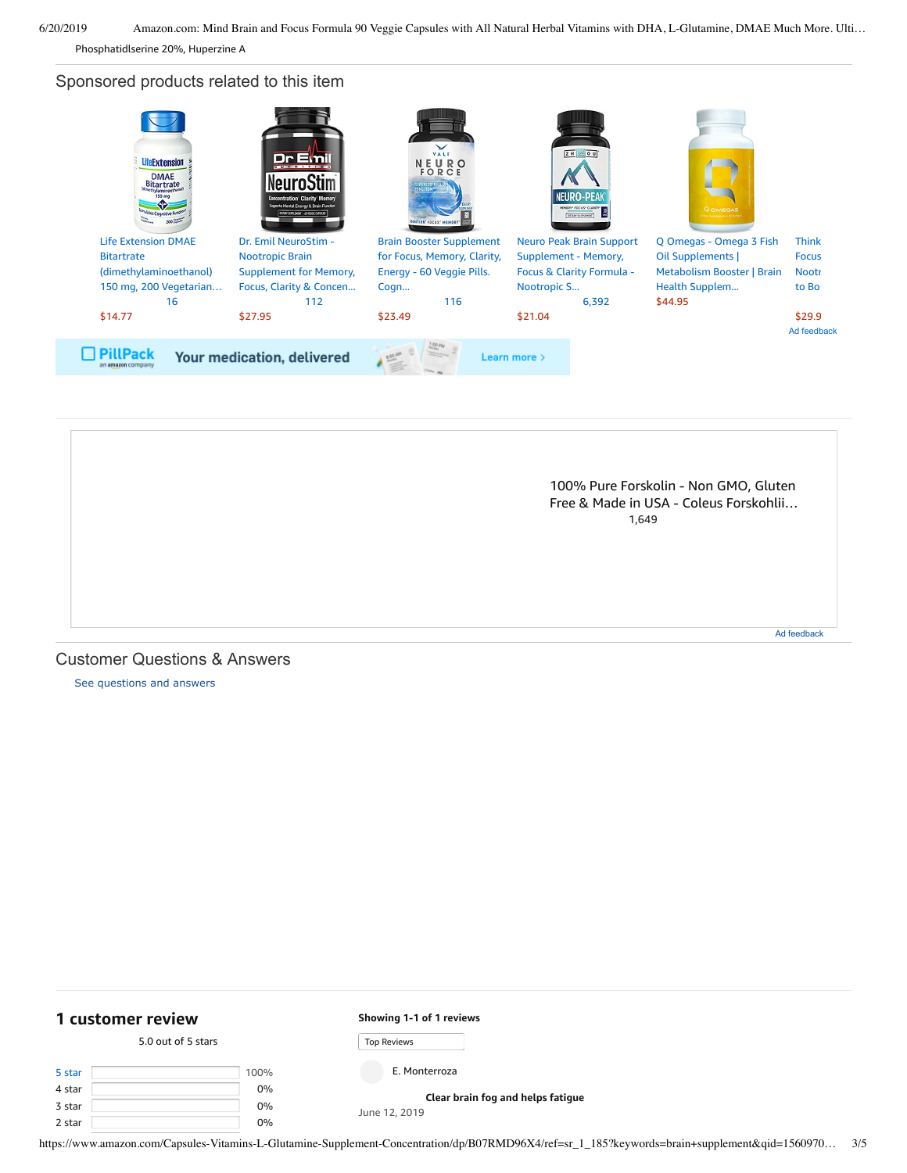6/20/2019 Amazon.com: Mind Brain and Focus Formula 90 Veggie Capsules with All Natural Herbal Vitamins with DHA, L-Glutamine, DMAE Much More. Ulti…

Phosphatidlserine 20%, Huperzine A

Sponsored products related to this item





[See questions and answers](https://www.amazon.com/ask/questions/asin/B07RMD96X4/ref=cm_cd_dp_lla_ql_ll)

<span id="page-2-0"></span>

| 1 customer review  |  |      | Showing 1-1 of 1 reviews          |  |
|--------------------|--|------|-----------------------------------|--|
| 5.0 out of 5 stars |  |      | <b>Top Reviews</b>                |  |
| 5 star             |  | 100% | E. Monterroza                     |  |
| 4 star             |  | 0%   | Clear brain fog and helps fatigue |  |
| 3 star             |  | 0%   | June 12, 2019                     |  |
| 2 star             |  | 0%   |                                   |  |

https://www.amazon.com/Capsules-Vitamins-L-Glutamine-Supplement-Concentration/dp/B07RMD96X4/ref=sr\_1\_185?keywords=brain+supplement&qid=1560970… 3/5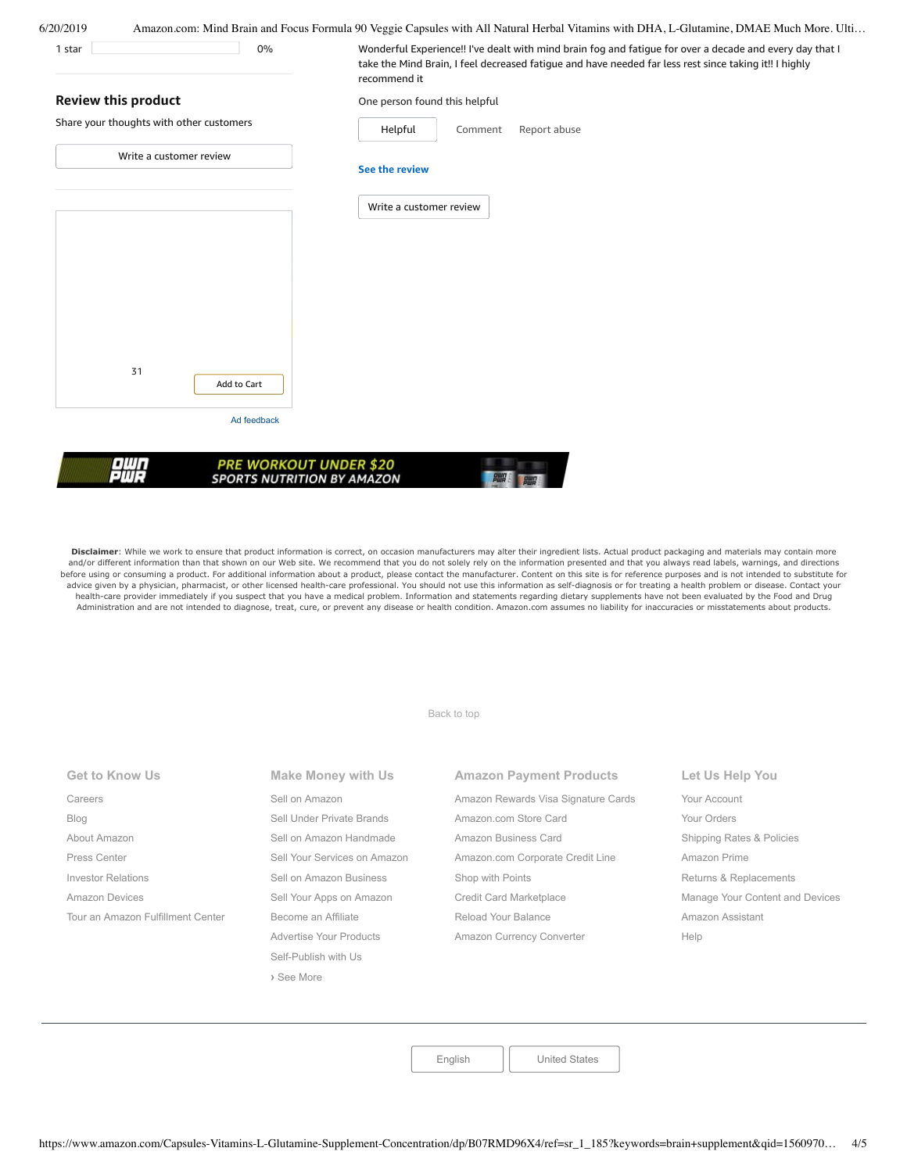| One person found this helpful<br>Helpful<br>Report abuse<br>Comment |  |  |  |
|---------------------------------------------------------------------|--|--|--|
|                                                                     |  |  |  |
|                                                                     |  |  |  |
| See the review                                                      |  |  |  |
| Write a customer review                                             |  |  |  |
|                                                                     |  |  |  |
|                                                                     |  |  |  |
|                                                                     |  |  |  |
|                                                                     |  |  |  |
|                                                                     |  |  |  |
|                                                                     |  |  |  |
| <b>PRE WORKOUT UNDER \$20</b>                                       |  |  |  |
| <b>SPORTS NUTRITION BY AMAZON</b>                                   |  |  |  |

Disclaimer: While we work to ensure that product information is correct, on occasion manufacturers may alter their ingredient lists. Actual product packaging and materials may contain more and/or different information than that shown on our Web site. We recommend that you do not solely rely on the information presented and that you always read labels, warnings, and directions before using or consuming a product. For additional information about a product, please contact the manufacturer. Content on this site is for reference purposes and is not intended to substitute for advice given by a physician, pharmacist, or other licensed health-care professional. You should not use this information as self-diagnosis or for treating a health problem or disease. Contact your health-care provider immediately if you suspect that you have a medical problem. Information and statements regarding dietary supplements have not been evaluated by the Food and Drug Administration and are not intended to diagnose, treat, cure, or prevent any disease or health condition. Amazon.com assumes no liability for inaccuracies or misstatements about products.

[Back to top](#page-0-0)

| <b>Get to Know Us</b>             | <b>Make Money with Us</b>    | <b>Amazon Payment Products</b>      | Let Us Help You                 |
|-----------------------------------|------------------------------|-------------------------------------|---------------------------------|
| Careers                           | Sell on Amazon               | Amazon Rewards Visa Signature Cards | Your Account                    |
| Blog                              | Sell Under Private Brands    | Amazon.com Store Card               | Your Orders                     |
| About Amazon                      | Sell on Amazon Handmade      | Amazon Business Card                | Shipping Rates & Policies       |
| Press Center                      | Sell Your Services on Amazon | Amazon.com Corporate Credit Line    | Amazon Prime                    |
| <b>Investor Relations</b>         | Sell on Amazon Business      | Shop with Points                    | Returns & Replacements          |
| Amazon Devices                    | Sell Your Apps on Amazon     | Credit Card Marketplace             | Manage Your Content and Devices |
| Tour an Amazon Fulfillment Center | Become an Affiliate          | Reload Your Balance                 | Amazon Assistant                |
|                                   | Advertise Your Products      | Amazon Currency Converter           | Help                            |
|                                   | Self-Publish with Us         |                                     |                                 |

**›** [See More](https://www.amazon.com/b/?_encoding=UTF8&ld=AZUSSOA-seemore&node=18190131011&ref_=footer_seemore)

[English](https://www.amazon.com/gp/customer-preferences/select-language/ref=footer_lang?ie=UTF8&preferencesReturnUrl=%2FCapsules-Vitamins-L-Glutamine-Supplement-Concentration%2Fdp%2FB07RMD96X4%2Fref%3Dsr_1_185%3Fkeywords%3Dbrain%2Bsupplement%26qid%3D1560970389%26s%3Dgateway%26sr%3D8-185) | [United States](https://www.amazon.com/gp/navigation-country/select-country/ref=?ie=UTF8&preferencesReturnUrl=%2FCapsules-Vitamins-L-Glutamine-Supplement-Concentration%2Fdp%2FB07RMD96X4%2Fref%3Dsr_1_185%3Fkeywords%3Dbrain%2Bsupplement%26qid%3D1560970389%26s%3Dgateway%26sr%3D8-185)